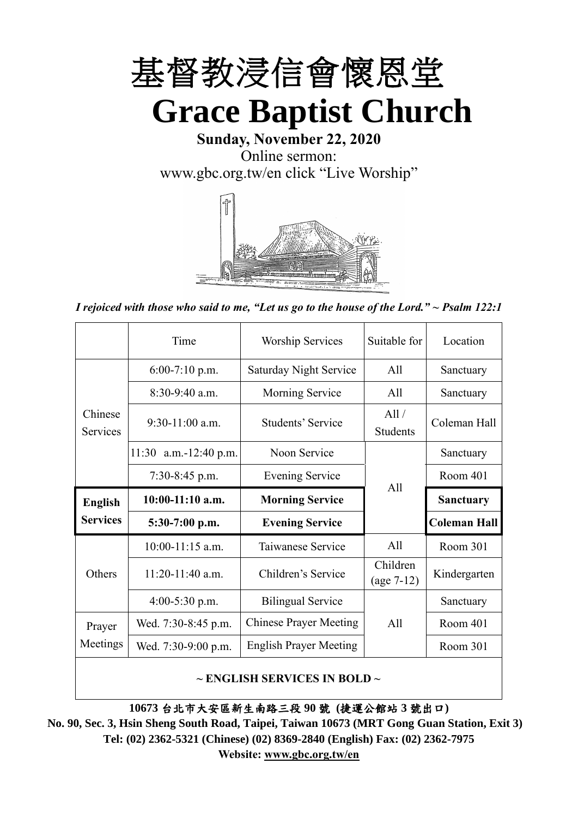

**Sunday, November 22, 2020** Online sermon: [www.gbc.org.tw/en](http://www.gbc.org.tw/en) click "Live Worship"



*I rejoiced with those who said to me, "Let us go to the house of the Lord." ~ Psalm 122:1*

|                            | Time                  | <b>Worship Services</b>              | Suitable for             | Location            |
|----------------------------|-----------------------|--------------------------------------|--------------------------|---------------------|
|                            | $6:00-7:10$ p.m.      | <b>Saturday Night Service</b><br>All |                          | Sanctuary           |
|                            | $8:30-9:40$ a.m.      | Morning Service                      | All                      | Sanctuary           |
| Chinese<br><b>Services</b> | $9:30-11:00$ a.m.     | Students' Service                    | All /<br><b>Students</b> | Coleman Hall        |
|                            | 11:30 a.m.-12:40 p.m. | Noon Service                         |                          | Sanctuary           |
|                            | $7:30-8:45$ p.m.      | <b>Evening Service</b>               | All                      | Room 401            |
|                            |                       |                                      |                          |                     |
| <b>English</b>             | $10:00-11:10$ a.m.    | <b>Morning Service</b>               |                          | <b>Sanctuary</b>    |
| <b>Services</b>            | $5:30-7:00$ p.m.      | <b>Evening Service</b>               |                          | <b>Coleman Hall</b> |
|                            | $10:00-11:15$ a.m.    | Taiwanese Service                    | All                      | Room 301            |
| Others                     | $11:20-11:40$ a.m.    | Children's Service                   | Children<br>$(age 7-12)$ | Kindergarten        |
|                            | $4:00-5:30$ p.m.      | <b>Bilingual Service</b>             |                          | Sanctuary           |
| Prayer                     | Wed. 7:30-8:45 p.m.   | <b>Chinese Prayer Meeting</b>        | A11                      | Room 401            |
| Meetings                   | Wed. 7:30-9:00 p.m.   | <b>English Prayer Meeting</b>        |                          | Room 301            |

#### **~ ENGLISH SERVICES IN BOLD ~**

**10673** 台北市大安區新生南路三段 **90** 號 **(**捷運公館站 **3** 號出口**)**

**No. 90, Sec. 3, Hsin Sheng South Road, Taipei, Taiwan 10673 (MRT Gong Guan Station, Exit 3) Tel: (02) 2362-5321 (Chinese) (02) 8369-2840 (English) Fax: (02) 2362-7975 Website: [www.gbc.org.tw/en](http://www.gbc.org.tw/en)**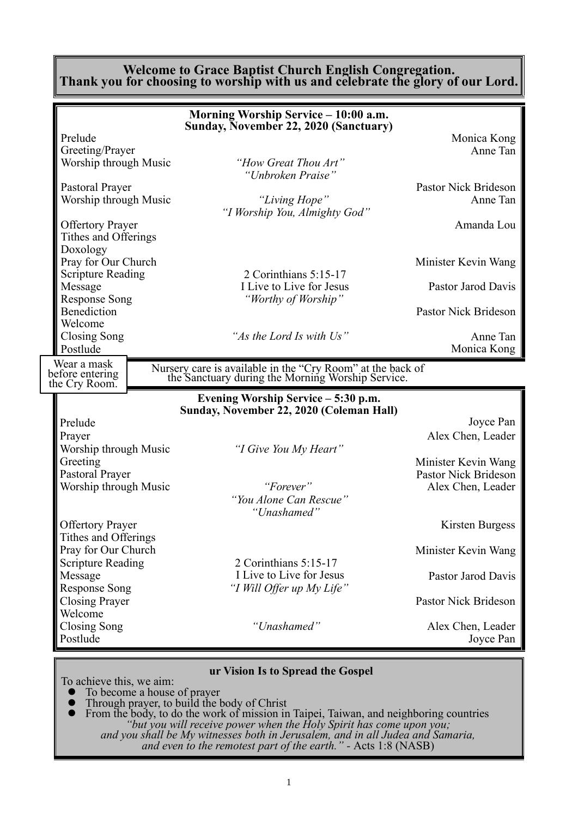#### **Welcome to Grace Baptist Church English Congregation. Thank you for choosing to worship with us and celebrate the glory of our Lord.**

|                                                 | Morning Worship Service – 10:00 a.m.<br>Sunday, November 22, 2020 (Sanctuary)                                |                                |
|-------------------------------------------------|--------------------------------------------------------------------------------------------------------------|--------------------------------|
| Prelude                                         |                                                                                                              | Monica Kong                    |
| Greeting/Prayer                                 |                                                                                                              | Anne Tan                       |
| Worship through Music                           | "How Great Thou Art"<br>"Unbroken Praise"                                                                    |                                |
| Pastoral Prayer                                 |                                                                                                              | Pastor Nick Brideson           |
| Worship through Music                           | "Living Hope"<br>"I Worship You, Almighty God"                                                               | Anne Tan                       |
| <b>Offertory Prayer</b>                         |                                                                                                              | Amanda Lou                     |
| Tithes and Offerings                            |                                                                                                              |                                |
| Doxology                                        |                                                                                                              |                                |
| Pray for Our Church                             |                                                                                                              | Minister Kevin Wang            |
| <b>Scripture Reading</b>                        | 2 Corinthians 5:15-17                                                                                        |                                |
| Message                                         | I Live to Live for Jesus                                                                                     | Pastor Jarod Davis             |
| <b>Response Song</b>                            | "Worthy of Worship"                                                                                          |                                |
| Benediction                                     |                                                                                                              | Pastor Nick Brideson           |
| Welcome                                         | "As the Lord Is with Us"                                                                                     |                                |
| Closing Song<br>Postlude                        |                                                                                                              | Anne Tan<br>Monica Kong        |
|                                                 |                                                                                                              |                                |
| Wear a mask<br>before entering<br>the Cry Room. | Nursery care is available in the "Cry Room" at the back of the Sanctuary during the Morning Worship Service. |                                |
|                                                 | Evening Worship Service – 5:30 p.m.<br>Sunday, November 22, 2020 (Coleman Hall)                              |                                |
| Prelude                                         |                                                                                                              | Joyce Pan                      |
| Prayer                                          |                                                                                                              | Alex Chen, Leader              |
| Worship through Music                           | "I Give You My Heart"                                                                                        |                                |
| Greeting                                        |                                                                                                              | Minister Kevin Wang            |
| Pastoral Prayer                                 |                                                                                                              |                                |
|                                                 |                                                                                                              | Pastor Nick Brideson           |
| Worship through Music                           | "Forever"                                                                                                    | Alex Chen, Leader              |
|                                                 | "You Alone Can Rescue"                                                                                       |                                |
|                                                 | "Unashamed"                                                                                                  |                                |
| <b>Offertory Prayer</b>                         |                                                                                                              | Kirsten Burgess                |
| Tithes and Offerings                            |                                                                                                              |                                |
| Pray for Our Church                             |                                                                                                              | Minister Kevin Wang            |
| <b>Scripture Reading</b>                        | 2 Corinthians 5:15-17                                                                                        |                                |
| Message                                         | I Live to Live for Jesus                                                                                     | Pastor Jarod Davis             |
| <b>Response Song</b>                            | "I Will Offer up My Life"                                                                                    |                                |
| <b>Closing Prayer</b>                           |                                                                                                              | Pastor Nick Brideson           |
| Welcome                                         |                                                                                                              |                                |
| <b>Closing Song</b><br>Postlude                 | "Unashamed"                                                                                                  | Alex Chen, Leader<br>Joyce Pan |

**ur Vision Is to Spread the Gospel**

To achieve this, we aim:

- ⚫ To become a house of prayer
- ⚫ Through prayer, to build the body of Christ
- ⚫ From the body, to do the work of mission in Taipei, Taiwan, and neighboring countries *"but you will receive power when the Holy Spirit has come upon you; and you shall be My witnesses both in Jerusalem, and in all Judea and Samaria, and even to the remotest part of the earth." -* Acts 1:8 (NASB)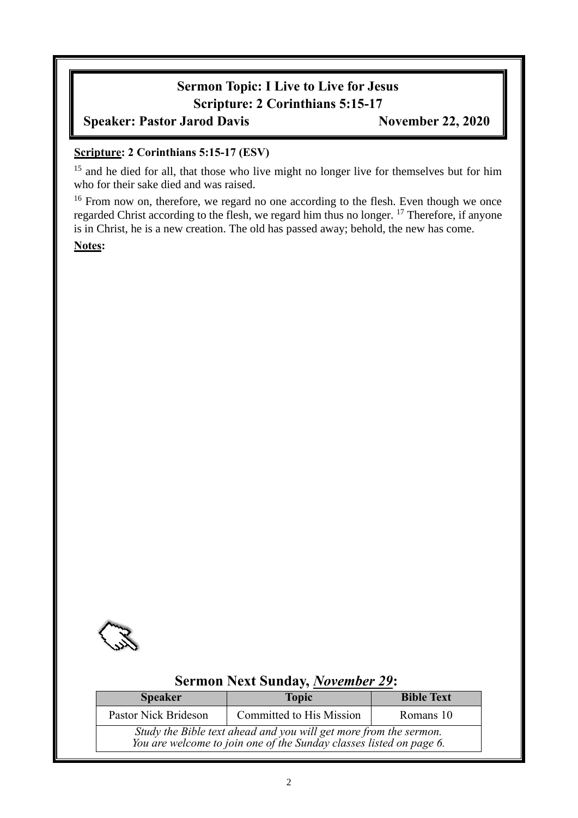# **Sermon Topic: I Live to Live for Jesus Scripture: 2 Corinthians 5:15-17**

**Speaker: Pastor Jarod Davis November 22, 2020**

#### **Scripture: 2 Corinthians 5:15-17 (ESV)**

<sup>15</sup> and he died for all, that those who live might no longer live for themselves but for him who for their sake died and was raised.

<sup>16</sup> From now on, therefore, we regard no one according to the flesh. Even though we once regarded Christ according to the flesh, we regard him thus no longer. <sup>17</sup> Therefore, if anyone is in Christ, he is a new creation. The old has passed away; behold, the new has come.

**Notes:**



#### **Sermon Next Sunday,** *November 29***:**

| <b>Speaker</b>                                                                                                                           | <b>Topic</b>             | <b>Bible Text</b> |  |  |
|------------------------------------------------------------------------------------------------------------------------------------------|--------------------------|-------------------|--|--|
| Pastor Nick Brideson                                                                                                                     | Committed to His Mission | Romans 10         |  |  |
| Study the Bible text ahead and you will get more from the sermon.<br>You are welcome to join one of the Sunday classes listed on page 6. |                          |                   |  |  |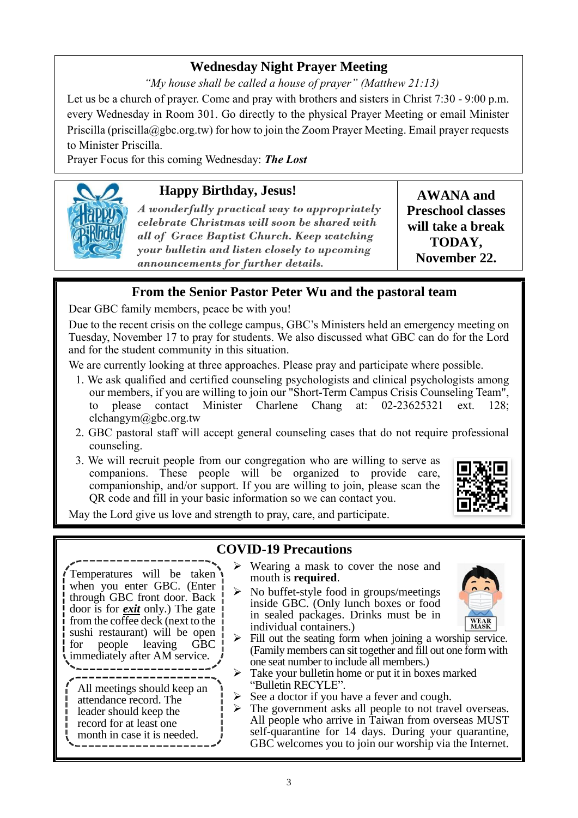### **Wednesday Night Prayer Meeting**

*"My house shall be called a house of prayer" (Matthew 21:13)*

Let us be a church of prayer. Come and pray with brothers and sisters in Christ 7:30 - 9:00 p.m. every Wednesday in Room 301. Go directly to the physical Prayer Meeting or email Minister Priscilla (priscilla@gbc.org.tw) for how to join the Zoom Prayer Meeting. Email prayer requests to Minister Priscilla.

Prayer Focus for this coming Wednesday: *The Lost*

# **Happy Birthday, Jesus! AWANA and**

A wonderfully practical way to appropriately celebrate Christmas will soon be shared with all of Grace Baptist Church. Keep watching your bulletin and listen closely to upcoming announcements for further details.

**Preschool classes will take a break TODAY, November 22.**

# **From the Senior Pastor Peter Wu and the pastoral team**

Dear GBC family members, peace be with you!

Due to the recent crisis on the college campus, GBC's Ministers held an emergency meeting on Tuesday, November 17 to pray for students. We also discussed what GBC can do for the Lord and for the student community in this situation.

We are currently looking at three approaches. Please pray and participate where possible.

- 1. We ask qualified and certified counseling psychologists and clinical psychologists among our members, if you are willing to join our "Short-Term Campus Crisis Counseling Team", to please contact Minister Charlene Chang at: 02-23625321 ext. 128; clchangym@gbc.org.tw
- 2. GBC pastoral staff will accept general counseling cases that do not require professional counseling.
- 3. We will recruit people from our congregation who are willing to serve as companions. These people will be organized to provide care, companions. These people in the regiments of the companionship, and/or support. If you are willing to join, please scan the QR code and fill in your basic information so we can contact you.



May the Lord give us love and strength to pray, care, and participate.

#### **COVID-19 Precautions**

Temperatures will be taken when you enter GBC. (Enter through GBC front door. Back door is for *exit* only.) The gate from the coffee deck (next to the sushi restaurant) will be open for people leaving GBC immediately after AM service.

- All meetings should keep an
- attendance record. The leader should keep the
- record for at least one
- month in case it is needed.
- 
- Wearing a mask to cover the nose and mouth is **required**.
- $\triangleright$  No buffet-style food in groups/meetings inside GBC. (Only lunch boxes or food in sealed packages. Drinks must be in individual containers.)



- ➢ Fill out the seating form when joining a worship service. (Family members can sit together and fill out one form with one seat number to include all members.)
- $\triangleright$  Take your bullet n home or put it in boxes marked "Bulletin RECYLE".
- $\triangleright$  See a doctor if you have a fever and cough.
- ➢ The government asks all people to not travel overseas. All people who arrive in Taiwan from overseas MUST self-quarantine for 14 days. During your quarantine, GBC welcomes you to join our worship via the Internet.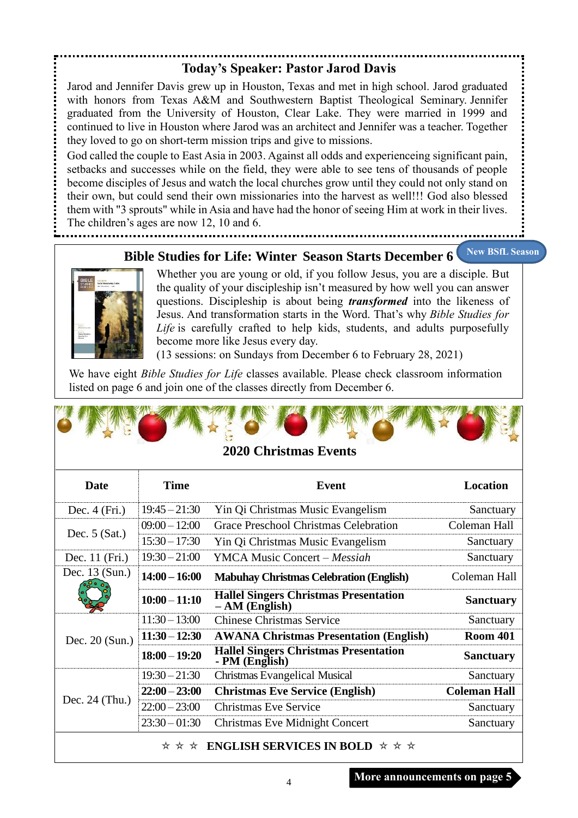# **Today's Speaker: Pastor Jarod Davis**

Jarod and Jennifer Davis grew up in Houston, Texas and met in high school. Jarod graduated with honors from Texas A&M and Southwestern Baptist Theological Seminary. Jennifer graduated from the University of Houston, Clear Lake. They were married in 1999 and continued to live in Houston where Jarod was an architect and Jennifer was a teacher. Together they loved to go on short-term mission trips and give to missions.

God called the couple to East Asia in 2003. Against all odds and experienceing significant pain, setbacks and successes while on the field, they were able to see tens of thousands of people become disciples of Jesus and watch the local churches grow until they could not only stand on their own, but could send their own missionaries into the harvest as well!!! God also blessed them with "3 sprouts" while in Asia and have had the honor of seeing Him at work in their lives. The children's ages are now 12, 10 and 6.

**THE REPORT OF A PARTICIPATION OF A PARTICIPATION OF A PARTICIPATION OF A PARTICIPATION OF A PARTICIPATION OF A PARTICIPATION OF A PARTICIPATION OF A PARTICIPATION OF A PARTICIPATION OF A PARTICIPATION OF A PARTICIPATION O** 

#### **Bible Studies for Life: Winter Season Starts December 6 New BSfL Season**



Whether you are young or old, if you follow Jesus, you are a disciple. But the quality of your discipleship isn't measured by how well you can answer questions. Discipleship is about being *transformed* into the likeness of Jesus. And transformation starts in the Word. That's why *Bible Studies for Life* is carefully crafted to help kids, students, and adults purposefully become more like Jesus every day.

**NEWS WEBSTERN COMMUNISTIPS** 

(13 sessions: on Sundays from December 6 to February 28, 2021)

We have eight *Bible Studies for Life* classes available. Please check classroom information listed on page 6 and join one of the classes directly from December 6.

|                  |                 | <b>2020 Christmas Events</b>                                     |                     |
|------------------|-----------------|------------------------------------------------------------------|---------------------|
| Date             | <b>Time</b>     | <b>Event</b>                                                     | <b>Location</b>     |
| Dec. $4(Fri.)$   | $19:45 - 21:30$ | Yin Qi Christmas Music Evangelism                                | Sanctuary           |
|                  | $09:00 - 12:00$ | <b>Grace Preschool Christmas Celebration</b>                     | Coleman Hall        |
| Dec. $5$ (Sat.)  | $15:30 - 17:30$ | Yin Qi Christmas Music Evangelism                                | Sanctuary           |
| Dec. 11 (Fri.)   | $19:30 - 21:00$ | <b>YMCA Music Concert – Messiah</b>                              | Sanctuary           |
| Dec. $13$ (Sun.) | $14:00 - 16:00$ | <b>Mabuhay Christmas Celebration (English)</b>                   | Coleman Hall        |
|                  | $10:00 - 11:10$ | <b>Hallel Singers Christmas Presentation</b><br>$- AM$ (English) | <b>Sanctuary</b>    |
|                  | $11:30 - 13:00$ | <b>Chinese Christmas Service</b>                                 | Sanctuary           |
| Dec. $20$ (Sun.) | $11:30 - 12:30$ | <b>AWANA Christmas Presentation (English)</b>                    | <b>Room 401</b>     |
|                  | $18:00 - 19:20$ | <b>Hallel Singers Christmas Presentation</b><br>- PM (English)   | <b>Sanctuary</b>    |
|                  | $19:30 - 21:30$ | <b>Christmas Evangelical Musical</b>                             | Sanctuary           |
|                  | $22:00 - 23:00$ | <b>Christmas Eve Service (English)</b>                           | <b>Coleman Hall</b> |
| Dec. $24$ (Thu.) | $22:00 - 23:00$ | <b>Christmas Eve Service</b>                                     | Sanctuary           |
|                  | $23:30 - 01:30$ | <b>Christmas Eve Midnight Concert</b>                            | Sanctuary           |
|                  |                 | $\star \star \star$ ENGLISH SERVICES IN BOLD $\star \star \star$ |                     |

**More announcements on page 5**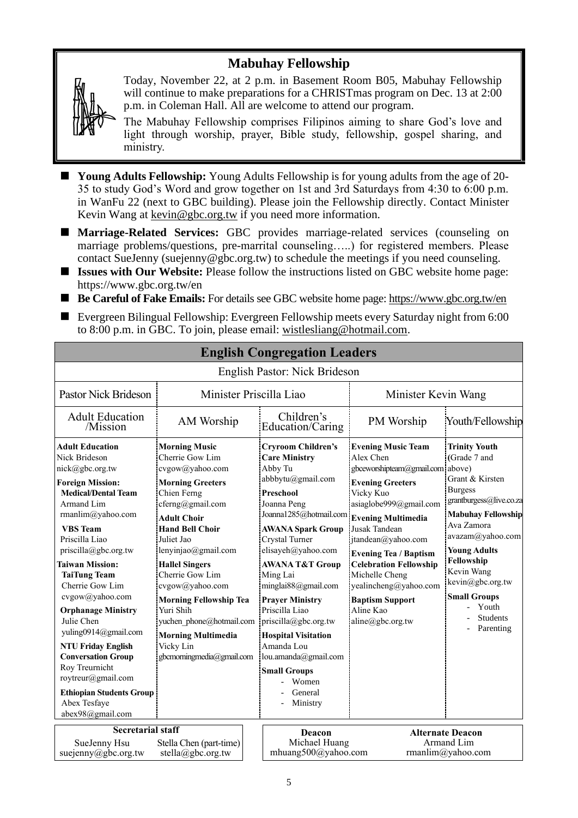#### **Mabuhay Fellowship**



Today, November 22, at 2 p.m. in Basement Room B05, Mabuhay Fellowship will continue to make preparations for a CHRISTmas program on Dec. 13 at 2:00 p.m. in Coleman Hall. All are welcome to attend our program.

The Mabuhay Fellowship comprises Filipinos aiming to share God's love and light through worship, prayer, Bible study, fellowship, gospel sharing, and ministry.

- Young Adults Fellowship: Young Adults Fellowship is for young adults from the age of 20-35 to study God's Word and grow together on 1st and 3rd Saturdays from 4:30 to 6:00 p.m. in WanFu 22 (next to GBC building). Please join the Fellowship directly. Contact Minister Kevin Wang at kevin@gbc.org.tw if you need more information.
- **Marriage-Related Services:** GBC provides marriage-related services (counseling on marriage problems/questions, pre-marrital counseling…..) for registered members. Please contact SueJenny (suejenny@gbc.org.tw) to schedule the meetings if you need counseling.
- **Issues with Our Website:** Please follow the instructions listed on GBC website home page: https://www.gbc.org.tw/en
- **Be Careful of Fake Emails:** For details see GBC website home page[: https://www.gbc.org.tw/en](https://www.gbc.org.tw/en)
- Evergreen Bilingual Fellowship: Evergreen Fellowship meets every Saturday night from 6:00 to 8:00 p.m. in GBC. To join, please email: [wistlesliang@hotmail.com.](mailto:wistlesliang@hotmail.com)

**English Congregation Leaders**

| ендими Сондгеданон Есачегу                                                                                                                                                                                                                                                                                                                                                                                                                                                                                                                             |                                                                                                                                                                                                                                                                                                                                                                                                                               |                                                                                                                                                                                                                                                                                                                                                                                                                                                                                                |                                                                                                                                                                                                                                                                                                                                                                                  |                                                                                                                                                                                                                                                                                                            |  |
|--------------------------------------------------------------------------------------------------------------------------------------------------------------------------------------------------------------------------------------------------------------------------------------------------------------------------------------------------------------------------------------------------------------------------------------------------------------------------------------------------------------------------------------------------------|-------------------------------------------------------------------------------------------------------------------------------------------------------------------------------------------------------------------------------------------------------------------------------------------------------------------------------------------------------------------------------------------------------------------------------|------------------------------------------------------------------------------------------------------------------------------------------------------------------------------------------------------------------------------------------------------------------------------------------------------------------------------------------------------------------------------------------------------------------------------------------------------------------------------------------------|----------------------------------------------------------------------------------------------------------------------------------------------------------------------------------------------------------------------------------------------------------------------------------------------------------------------------------------------------------------------------------|------------------------------------------------------------------------------------------------------------------------------------------------------------------------------------------------------------------------------------------------------------------------------------------------------------|--|
| English Pastor: Nick Brideson                                                                                                                                                                                                                                                                                                                                                                                                                                                                                                                          |                                                                                                                                                                                                                                                                                                                                                                                                                               |                                                                                                                                                                                                                                                                                                                                                                                                                                                                                                |                                                                                                                                                                                                                                                                                                                                                                                  |                                                                                                                                                                                                                                                                                                            |  |
| Pastor Nick Brideson                                                                                                                                                                                                                                                                                                                                                                                                                                                                                                                                   | Minister Priscilla Liao                                                                                                                                                                                                                                                                                                                                                                                                       |                                                                                                                                                                                                                                                                                                                                                                                                                                                                                                | Minister Kevin Wang                                                                                                                                                                                                                                                                                                                                                              |                                                                                                                                                                                                                                                                                                            |  |
| <b>Adult Education</b><br>/Mission                                                                                                                                                                                                                                                                                                                                                                                                                                                                                                                     | AM Worship                                                                                                                                                                                                                                                                                                                                                                                                                    | Children's<br>Education/Caring                                                                                                                                                                                                                                                                                                                                                                                                                                                                 | PM Worship                                                                                                                                                                                                                                                                                                                                                                       | Youth/Fellowship                                                                                                                                                                                                                                                                                           |  |
| <b>Adult Education</b><br>Nick Brideson<br>nick@gbc.org.tw<br><b>Foreign Mission:</b><br><b>Medical/Dental Team</b><br>Armand Lim<br>rmanlim@yahoo.com<br><b>VBS</b> Team<br>Priscilla Liao<br>priscilla@gbc.org.tw<br><b>Taiwan Mission:</b><br><b>TaiTung Team</b><br>Cherrie Gow Lim<br>cvgow@yahoo.com<br><b>Orphanage Ministry</b><br>Julie Chen<br>yuling0914@gmail.com<br><b>NTU Friday English</b><br><b>Conversation Group</b><br>Roy Treurnicht<br>roytreur@gmail.com<br><b>Ethiopian Students Group</b><br>Abex Tesfaye<br>abex98@gmail.com | <b>Morning Music</b><br>Cherrie Gow Lim<br>cvgow@yahoo.com<br><b>Morning Greeters</b><br>Chien Ferng<br>cferng@gmail.com<br><b>Adult Choir</b><br><b>Hand Bell Choir</b><br>Juliet Jao<br>lenyinjao@gmail.com<br><b>Hallel Singers</b><br>Cherrie Gow Lim<br>cvgow@yahoo.com<br><b>Morning Fellowship Tea</b><br>Yuri Shih<br>yuchen phone@hotmail.com<br><b>Morning Multimedia</b><br>Vicky Lin<br>gbcmorningmedia@gmail.com | <b>Cryroom Children's</b><br><b>Care Ministry</b><br>Abby Tu<br>abbbytu@gmail.com<br><b>Preschool</b><br>Joanna Peng<br>Joanna1285@hotmail.com<br><b>AWANA Spark Group</b><br>Crystal Turner<br>elisayeh@yahoo.com<br><b>AWANA T&amp;T Group</b><br>Ming Lai<br>minglai88@gmail.com<br><b>Praver Ministry</b><br>Priscilla Liao<br>$priscilla(\partial gbc.org.tw)$<br><b>Hospital Visitation</b><br>Amanda Lou<br>lou.amanda@gmail.com<br><b>Small Groups</b><br>Women<br>General<br>Ministry | <b>Evening Music Team</b><br>Alex Chen<br>gbceworshipteam@gmail.com above)<br><b>Evening Greeters</b><br>Vicky Kuo<br>asiaglobe999@gmail.com<br>Evening Multimedia<br>Jusak Tandean<br>jtandean@yahoo.com<br><b>Evening Tea / Baptism</b><br><b>Celebration Fellowship</b><br>Michelle Cheng<br>yealincheng@yahoo.com<br><b>Baptism Support</b><br>Aline Kao<br>aline@gbc.org.tw | <b>Trinity Youth</b><br>(Grade 7 and<br>Grant & Kirsten<br><b>Burgess</b><br>grantburgess@live.co.za<br><b>Mabuhay Fellowship</b><br>Ava Zamora<br>avazam@yahoo.com<br><b>Young Adults</b><br>Fellowship<br>Kevin Wang<br>kevin@gbc.org.tw<br><b>Small Groups</b><br>Youth<br><b>Students</b><br>Parenting |  |
| <b>Secretarial staff</b><br>SueJenny Hsu<br>Stella Chen (part-time)<br>suejenny@gbc.org.tw<br>stella@gbc.org.tw                                                                                                                                                                                                                                                                                                                                                                                                                                        |                                                                                                                                                                                                                                                                                                                                                                                                                               | Deacon<br>Michael Huang<br>mhuang500@yahoo.com                                                                                                                                                                                                                                                                                                                                                                                                                                                 |                                                                                                                                                                                                                                                                                                                                                                                  | <b>Alternate Deacon</b><br>Armand Lim<br>rmanlim@yahoo.com                                                                                                                                                                                                                                                 |  |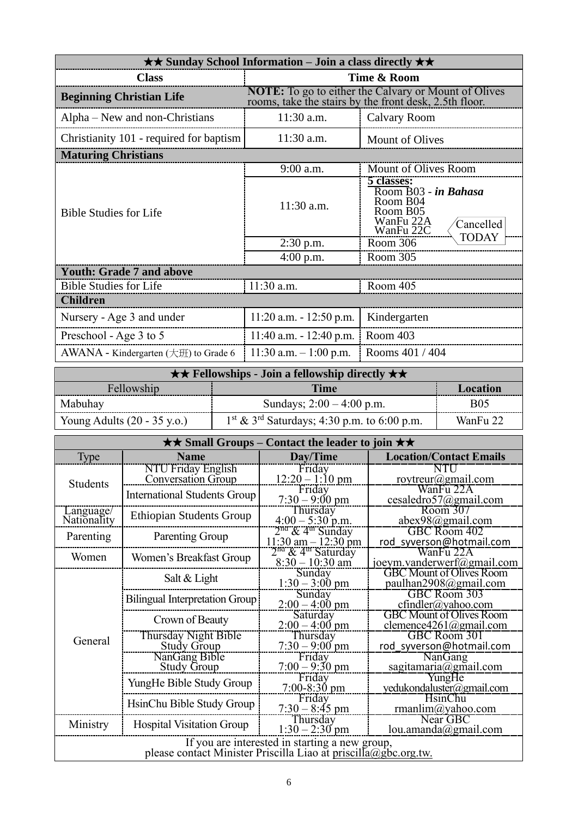| $\star\star$ Sunday School Information – Join a class directly $\star\star$ |                                                                                                                       |                                                                                                   |  |  |
|-----------------------------------------------------------------------------|-----------------------------------------------------------------------------------------------------------------------|---------------------------------------------------------------------------------------------------|--|--|
| <b>Class</b>                                                                | Time & Room                                                                                                           |                                                                                                   |  |  |
| <b>Beginning Christian Life</b>                                             | <b>NOTE:</b> To go to either the Calvary or Mount of Olives<br>rooms, take the stairs by the front desk, 2.5th floor. |                                                                                                   |  |  |
| Alpha – New and non-Christians                                              | $11:30$ a.m.                                                                                                          | Calvary Room                                                                                      |  |  |
| Christianity 101 - required for baptism                                     | $11:30$ a.m.                                                                                                          | <b>Mount of Olives</b>                                                                            |  |  |
| <b>Maturing Christians</b>                                                  |                                                                                                                       |                                                                                                   |  |  |
|                                                                             | 9:00 a.m.                                                                                                             | Mount of Olives Room                                                                              |  |  |
| <b>Bible Studies for Life</b>                                               | 11:30 a.m.                                                                                                            | 5 classes:<br>Room B03 - in Bahasa<br>Room B04<br>Room B05<br>WanFu 22A<br>Cancelled<br>WanFu 22C |  |  |
|                                                                             | $2:30$ p.m.                                                                                                           | TODAY<br>Room 306                                                                                 |  |  |
|                                                                             | $4:00$ p.m.                                                                                                           | Room 305                                                                                          |  |  |
| <b>Youth: Grade 7 and above</b>                                             |                                                                                                                       |                                                                                                   |  |  |
| <b>Bible Studies for Life</b>                                               | 11:30 a.m.                                                                                                            | Room 405                                                                                          |  |  |
| <b>Children</b>                                                             |                                                                                                                       |                                                                                                   |  |  |
| Nursery - Age 3 and under                                                   | $11:20$ a.m. $-12:50$ p.m.                                                                                            | Kindergarten                                                                                      |  |  |
| Preschool - Age 3 to 5                                                      | 11:40 a.m. - 12:40 p.m.                                                                                               | Room 403                                                                                          |  |  |
| AWANA - Kindergarten $(\pm \text{m})$ to Grade 6                            | 11:30 a.m. $-1:00$ p.m.                                                                                               | Rooms 401 / 404                                                                                   |  |  |

| $\star \star$ Fellowships - Join a fellowship directly $\star \star$ |                                                           |            |  |  |
|----------------------------------------------------------------------|-----------------------------------------------------------|------------|--|--|
| Fellowship<br>Time<br>Location                                       |                                                           |            |  |  |
| Mabuhay                                                              | Sundays; $2:00 - 4:00$ p.m.                               | <b>B05</b> |  |  |
| Young Adults $(20 - 35 \text{ y.o.})$                                | $1st$ & 3 <sup>rd</sup> Saturdays; 4:30 p.m. to 6:00 p.m. | WanFu 22   |  |  |

| $\star\star$ Small Groups – Contact the leader to join $\star\star$                                               |                                                 |                                                                 |                                                           |  |
|-------------------------------------------------------------------------------------------------------------------|-------------------------------------------------|-----------------------------------------------------------------|-----------------------------------------------------------|--|
| <b>Type</b>                                                                                                       | <b>Name</b>                                     | Day/Time                                                        | <b>Location/Contact Emails</b>                            |  |
|                                                                                                                   | NTU Friday English<br><b>Conversation Group</b> | Friday<br>$12:20 - 1:10$ pm                                     | NTU<br>roytreur@gmail.com                                 |  |
| <b>Students</b>                                                                                                   | <b>International Students Group</b>             | Friday<br>$7:30 - 9:00 \text{ pm}$                              | WanFu 22A<br>cesaledro57@gmail.com                        |  |
| Language/<br>Nationality                                                                                          | <b>Ethiopian Students Group</b>                 | Thursday<br>$4:00 - 5:30$ p.m.                                  | <b>Room 307</b><br>abex98@gmail.com                       |  |
| Parenting                                                                                                         | Parenting Group                                 | $2in$ & $4in$ Sunday<br>$11:30$ am $- 12:30$ pm                 | GBC Room 402<br>rod syverson@hotmail.com                  |  |
| Women                                                                                                             | Women's Breakfast Group                         | 2 <sup>na</sup> & 4 <sup>th</sup> Saturday<br>$8:30 - 10:30$ am | WanFu 22A<br>joeym.vanderwerf@gmail.com                   |  |
|                                                                                                                   | Salt & Light                                    | Sunday<br>$1:30 - 3:00$ pm                                      | <b>GBC Mount of Olives Room</b><br>paulhan2908@gmail.com  |  |
|                                                                                                                   | <b>Bilingual Interpretation Group</b>           | Sunday<br>$2:00 - 4:00$ pm                                      | GBC Room 303<br>$cfindler(a)$ yahoo.com                   |  |
|                                                                                                                   | Crown of Beauty                                 | Saturday<br>$2:00 - 4:00$ pm                                    | <b>GBC Mount of Olives Room</b><br>clemence4261@gmail.com |  |
| General                                                                                                           | Thursday Night Bible<br><b>Study Group</b>      | Thursday<br>$7:30 - 9:00$ pm                                    | GBC Room 301<br>rod_syverson@hotmail.com                  |  |
|                                                                                                                   | NanGang Bible<br><b>Study Group</b>             | Friday<br>$7:00 - 9:30$ pm                                      | <b>NanGang</b><br>sagitamaria@gmail.com                   |  |
|                                                                                                                   | YungHe Bible Study Group                        | Friday<br>$7:00 - 8:30$ pm                                      | YungHe<br>yedukondaluster@gmail.com                       |  |
|                                                                                                                   | HsinChu Bible Study Group                       | Friday<br>$7:30 - 8:45$ pm                                      | <b>HsinChu</b><br>rmanlim@yahoo.com                       |  |
| Ministry                                                                                                          | <b>Hospital Visitation Group</b>                | Thursday<br>$1:30 - 2:30$ pm                                    | Near GBC<br>lou.amanda@gmail.com                          |  |
| If you are interested in starting a new group,<br>please contact Minister Priscilla Liao at priscilla@gbc.org.tw. |                                                 |                                                                 |                                                           |  |